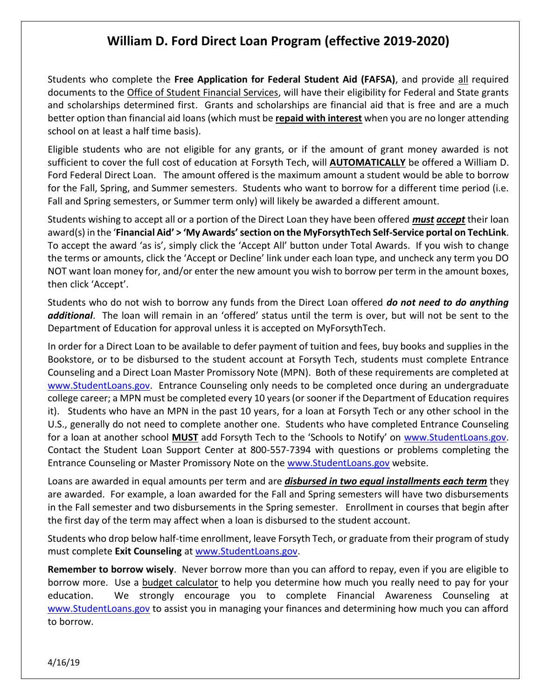## **William D. Ford Direct Loan Program (effective 2019-2020)**

Students who complete the **Free Application for Federal Student Aid (FAFSA)**, and provide all required documents to the Office of Student Financial Services, will have their eligibility for Federal and State grants and scholarships determined first. Grants and scholarships are financial aid that is free and are a much better option than financial aid loans (which must be **repaid with interest** when you are no longer attending school on at least a half time basis).

Eligible students who are not eligible for any grants, or if the amount of grant money awarded is not sufficient to cover the full cost of education at Forsyth Tech, will **AUTOMATICALLY** be offered a William D. Ford Federal Direct Loan. The amount offered is the maximum amount a student would be able to borrow for the Fall, Spring, and Summer semesters. Students who want to borrow for a different time period (i.e. Fall and Spring semesters, or Summer term only) will likely be awarded a different amount.

Students wishing to accept all or a portion of the Direct Loan they have been offered *must accept* their loan award(s) in the '**Financial Aid' > 'My Awards'section on the MyForsythTech Self-Service portal on TechLink**. To accept the award 'as is', simply click the 'Accept All' button under Total Awards. If you wish to change the terms or amounts, click the 'Accept or Decline' link under each loan type, and uncheck any term you DO NOT want loan money for, and/or enter the new amount you wish to borrow per term in the amount boxes, then click 'Accept'.

Students who do not wish to borrow any funds from the Direct Loan offered *do not need to do anything additional*. The loan will remain in an 'offered' status until the term is over, but will not be sent to the Department of Education for approval unless it is accepted on MyForsythTech.

In order for a Direct Loan to be available to defer payment of tuition and fees, buy books and supplies in the Bookstore, or to be disbursed to the student account at Forsyth Tech, students must complete Entrance Counseling and a Direct Loan Master Promissory Note (MPN). Both of these requirements are completed at [www.StudentLoans.gov.](http://www.studentloans.gov/) Entrance Counseling only needs to be completed once during an undergraduate college career; a MPN must be completed every 10 years (or sooner if the Department of Education requires it). Students who have an MPN in the past 10 years, for a loan at Forsyth Tech or any other school in the U.S., generally do not need to complete another one. Students who have completed Entrance Counseling for a loan at another school **MUST** add Forsyth Tech to the 'Schools to Notify' on [www.StudentLoans.gov.](http://www.studentloans.gov/) Contact the Student Loan Support Center at 800-557-7394 with questions or problems completing the Entrance Counseling or Master Promissory Note on the [www.StudentLoans.gov](http://www.studentloans.gov/) website.

Loans are awarded in equal amounts per term and are *disbursed in two equal installments each term* they are awarded. For example, a loan awarded for the Fall and Spring semesters will have two disbursements in the Fall semester and two disbursements in the Spring semester. Enrollment in courses that begin after the first day of the term may affect when a loan is disbursed to the student account.

Students who drop below half-time enrollment, leave Forsyth Tech, or graduate from their program of study must complete **Exit Counseling** at [www.StudentLoans.gov.](file:///C:/Documents%20and%20Settings/vlenderman/Local%20Settings/Temporary%20Internet%20Files/Content.Outlook/2O0HQYFQ/www.StudentLoans.gov)

**Remember to borrow wisely**. Never borrow more than you can afford to repay, even if you are eligible to borrow more. Use a budget calculator to help you determine how much you really need to pay for your education. We strongly encourage you to complete Financial Awareness Counseling at [www.StudentLoans.gov](http://www.studentloans.gov/) to assist you in managing your finances and determining how much you can afford to borrow.